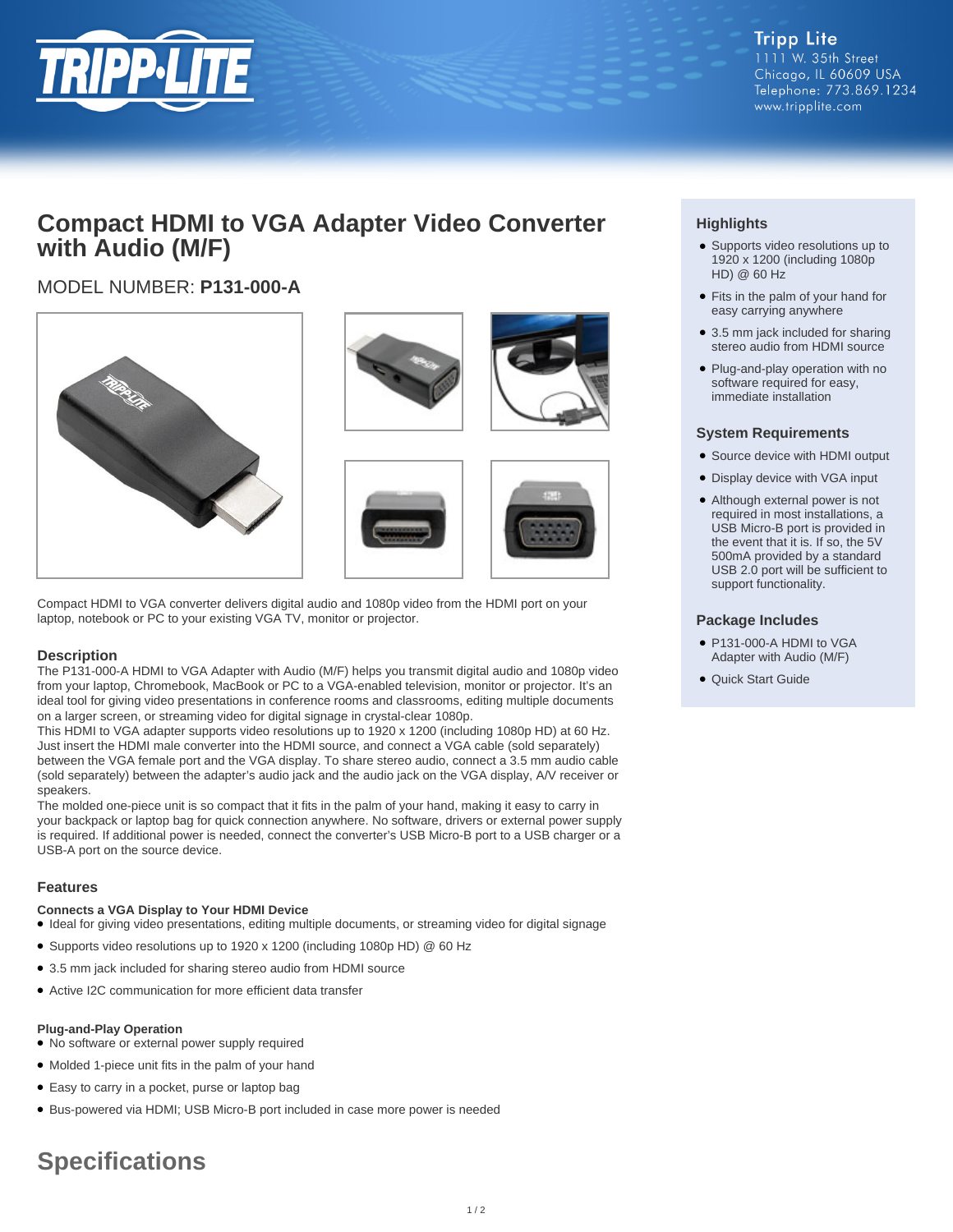

# **Compact HDMI to VGA Adapter Video Converter with Audio (M/F)**

# MODEL NUMBER: **P131-000-A**



Compact HDMI to VGA converter delivers digital audio and 1080p video from the HDMI port on your laptop, notebook or PC to your existing VGA TV, monitor or projector.

# **Description**

The P131-000-A HDMI to VGA Adapter with Audio (M/F) helps you transmit digital audio and 1080p video from your laptop, Chromebook, MacBook or PC to a VGA-enabled television, monitor or projector. It's an ideal tool for giving video presentations in conference rooms and classrooms, editing multiple documents on a larger screen, or streaming video for digital signage in crystal-clear 1080p.

This HDMI to VGA adapter supports video resolutions up to 1920 x 1200 (including 1080p HD) at 60 Hz. Just insert the HDMI male converter into the HDMI source, and connect a VGA cable (sold separately) between the VGA female port and the VGA display. To share stereo audio, connect a 3.5 mm audio cable (sold separately) between the adapter's audio jack and the audio jack on the VGA display, A/V receiver or speakers.

The molded one-piece unit is so compact that it fits in the palm of your hand, making it easy to carry in your backpack or laptop bag for quick connection anywhere. No software, drivers or external power supply is required. If additional power is needed, connect the converter's USB Micro-B port to a USB charger or a USB-A port on the source device.

## **Features**

## **Connects a VGA Display to Your HDMI Device**

- Ideal for giving video presentations, editing multiple documents, or streaming video for digital signage
- Supports video resolutions up to 1920 x 1200 (including 1080p HD) @ 60 Hz
- 3.5 mm jack included for sharing stereo audio from HDMI source
- Active I2C communication for more efficient data transfer

#### **Plug-and-Play Operation**

- No software or external power supply required
- Molded 1-piece unit fits in the palm of your hand
- Easy to carry in a pocket, purse or laptop bag
- Bus-powered via HDMI; USB Micro-B port included in case more power is needed

# **Specifications**

# **Highlights**

- Supports video resolutions up to 1920 x 1200 (including 1080p HD) @ 60 Hz
- Fits in the palm of your hand for easy carrying anywhere
- 3.5 mm jack included for sharing stereo audio from HDMI source
- Plug-and-play operation with no software required for easy, immediate installation

## **System Requirements**

- Source device with HDMI output
- Display device with VGA input
- Although external power is not required in most installations, a USB Micro-B port is provided in the event that it is. If so, the 5V 500mA provided by a standard USB 2.0 port will be sufficient to support functionality.

#### **Package Includes**

- P131-000-A HDMI to VGA Adapter with Audio (M/F)
- Quick Start Guide